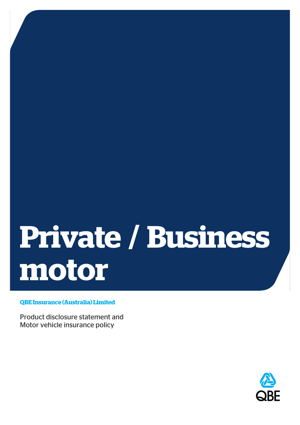# **Private / Business motor**

**QBE Insurance (Australia) Limited**

Product disclosure statement and Motor vehicle insurance policy

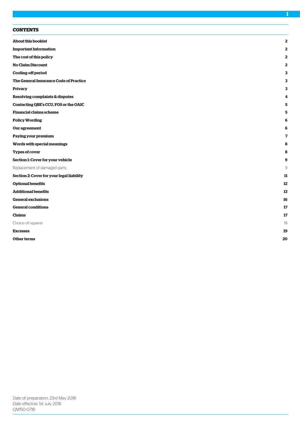| <b>About this booklet</b>                 | $\overline{\mathbf{2}}$ |
|-------------------------------------------|-------------------------|
| <b>Important Information</b>              | 2                       |
| The cost of this policy                   | 2                       |
| <b>No Claim Discount</b>                  | 2                       |
| <b>Cooling-off period</b>                 | 3                       |
| The General Insurance Code of Practice    | 3                       |
| <b>Privacy</b>                            | 3                       |
| Resolving complaints & disputes           | 4                       |
| Contacting QBE's CCU, FOS or the OAIC     | 5                       |
| <b>Financial claims scheme</b>            | 5                       |
| <b>Policy Wording</b>                     | 6                       |
| Our agreement                             | 6                       |
| Paying your premium                       | 7                       |
| Words with special meanings               | 8                       |
| <b>Types of cover</b>                     | 8                       |
| Section 1: Cover for your vehicle         | 9                       |
| Replacement of damaged parts              | 9                       |
| Section 2: Cover for your legal liability | 11                      |
| <b>Optional benefits</b>                  | 12                      |
| <b>Additional benefits</b>                | 13                      |
| <b>General exclusions</b>                 | 16                      |
| <b>General conditions</b>                 | 17                      |
| <b>Claims</b>                             | 17                      |
| Choice of repairer                        | 18                      |
| <b>Excesses</b>                           | 19                      |
| Other terms                               | 20                      |
|                                           |                         |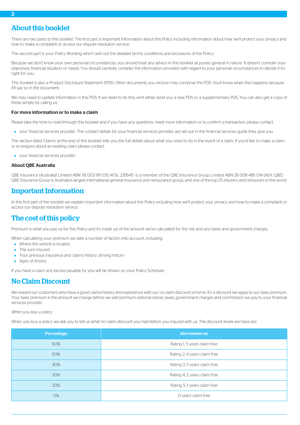# <span id="page-2-0"></span>About this booklet

There are two parts to this booklet. The first part is Important Information about this Policy including information about how we'll protect your privacy and how to make a complaint or access our dispute resolution service.

The second part is your Policy Wording which sets out the detailed terms, conditions and exclusions of the Policy.

Because we don't know your own personal circumstances, you should treat any advice in this booklet as purely general in nature. It doesn't consider your objectives, financial situation or needs. You should carefully consider the information provided with regard to your personal circumstances to decide if it's right for you.

This booklet is also a Product Disclosure Statement (PDS). Other documents you receive may comprise the PDS. You'll know when this happens because it'll say so in the document.

We may need to update information in this PDS. If we need to do this, we'll either send you a new PDS or a supplementary PDS. You can also get a copy of these simply by calling us.

#### For more information or to make a claim

Please take the time to read through this booklet and if you have any questions, need more information or to confirm a transaction, please contact:

your financial services provider. The contact details for your financial services provider are set out in the financial services guide they give you.

The section titled 'Claims' at the end of this booklet tells you the full details about what you need to do in the event of a claim. If you'd like to make a claim or to enquire about an existing claim please contact:

your financial services provider.

#### About QBE Australia

<span id="page-2-1"></span>QBE Insurance (Australia) Limited ABN 78 003 191 035 AFSL 239545 is a member of the QBE Insurance Group Limited ABN 28 008 485 014 (ASX: QBE). QBE Insurance Group is Australia's largest international general insurance and reinsurance group, and one of the top 25 insurers and reinsurers in the world.

## <span id="page-2-2"></span>Important Information

In this first part of the booklet we explain important information about this Policy including how we'll protect your privacy and how to make a complaint or access our dispute resolution service.

# The cost of this policy

Premium is what you pay us for this Policy and it's made up of the amount we've calculated for the risk and any taxes and government charges.

When calculating your premium we take a number of factors into account, including:

- Where the vehicle is located
- <span id="page-2-3"></span>The sum insured
- Your previous insurance and claims history, driving history
- **Ages of drivers.**

If you have a claim any excess payable by you will be shown on your Policy Schedule.

# No Claim Discount

We reward our customers who have a good claims history and experience with our no claim discount scheme. It's a discount we apply to our base premium. Your base premium is the amount we charge before we add premium optional extras, taxes, government charges and commission we pay to your financial services provider.

#### *When you buy a policy*

When you buy a policy we ask you to tell us what no claim discount you had before you insured with us. The discount levels we have are:

| Percentage | Also known as                |
|------------|------------------------------|
| 60%        | Rating 1, 5 years claim free |
| 50%        | Rating 2, 4 years claim free |
| 40%        | Rating 3, 3 years claim free |
| 30%        | Rating 4, 2 years claim free |
| 20%        | Rating 5, 1 years claim free |
| 0%         | O years claim free           |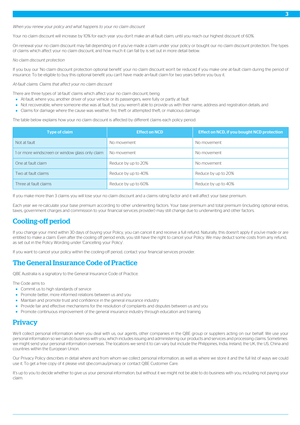*When you renew your policy and what happens to your no claim discount*

Your no claim discount will increase by 10% for each year you don't make an at-fault claim, until you reach our highest discount of 60%.

On renewal your no claim discount may fall depending on if you've made a claim under your policy or bought our no claim discount protection. The types of claims which affect your no claim discount, and how much it can fall by is set out in more detail below.

#### *No claim discount protection*

If you buy our 'No claim discount protection optional benefit' your no claim discount won't be reduced if you make one at-fault claim during the period of insurance. To be eligible to buy this optional benefit you can't have made an-fault claim for two years before you buy it.

*At-fault claims: Claims that affect your no claim discount*

There are three types of 'at-fault' claims which affect your no claim discount, being:

- At-fault, where you, another driver of your vehicle or its passengers, were fully or partly at fault
- Not recoverable, where someone else was at fault, but you weren't able to provide us with their name, address and registration details, and
- Claims for damage where the cause was weather, fire, theft or attempted theft, or malicious damage.

The table below explains how your no claim discount is affected by different claims each policy period:

| <b>Type of claim</b>                            | <b>Effect on NCD</b> | Effect on NCD, if you bought NCD protection |
|-------------------------------------------------|----------------------|---------------------------------------------|
| Not at fault                                    | No movement          | No movement                                 |
| 1 or more windscreen or window glass only claim | No movement          | No movement                                 |
| One at fault claim                              | Reduce by up to 20%  | No movement                                 |
| Two at fault claims                             | Reduce by up to 40%  | Reduce by up to 20%                         |
| Three at fault claims                           | Reduce by up to 60%  | Reduce by up to 40%                         |

<span id="page-3-0"></span>If you make more than 3 claims you will lose your no claim discount and a claims rating factor and it will affect your base premium.

Each year we re-calculate your base premium according to other underwriting factors. Your base premium and total premium (including optional extras, taxes, government charges and commission to your financial services provider) may still change due to underwriting and other factors.

# Cooling-off period

<span id="page-3-1"></span>If you change your mind within 30 days of buying your Policy, you can cancel it and receive a full refund. Naturally, this doesn't apply if you've made or are entitled to make a claim. Even after the cooling off period ends, you still have the right to cancel your Policy. We may deduct some costs from any refund, as set out in the Policy Wording under 'Cancelling your Policy'.

If you want to cancel your policy within the cooling-off period, contact your financial services provider.

# The General Insurance Code of Practice

QBE Australia is a signatory to the General Insurance Code of Practice.

The Code aims to:

- <span id="page-3-2"></span>**•** Commit us to high standards of service
- Promote better, more informed relations between us and you
- Maintain and promote trust and confidence in the general insurance industry
- Provide fair and effective mechanisms for the resolution of complaints and disputes between us and you
- Promote continuous improvement of the general insurance industry through education and training.

# **Privacy**

We'll collect personal information when you deal with us, our agents, other companies in the QBE group or suppliers acting on our behalf. We use your personal information so we can do business with you, which includes issuing and administering our products and services and processing claims. Sometimes we might send your personal information overseas. The locations we send it to can vary but include the Philippines, India, Ireland, the UK, the US, China and countries within the European Union.

Our Privacy Policy describes in detail where and from whom we collect personal information, as well as where we store it and the full list of ways we could use it. To get a free copy of it please visit qbe.com.au/privacy or contact QBE Customer Care.

It's up to you to decide whether to give us your personal information, but without it we might not be able to do business with you, including not paying your claim.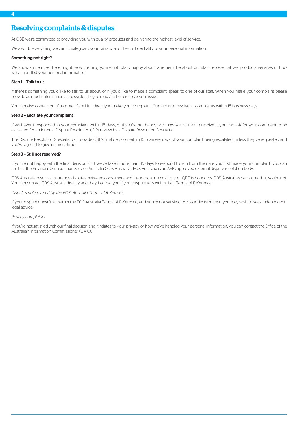# <span id="page-4-0"></span>Resolving complaints & disputes

At QBE we're committed to providing you with quality products and delivering the highest level of service.

We also do everything we can to safeguard your privacy and the confidentiality of your personal information.

#### Something not right?

We know sometimes there might be something you're not totally happy about, whether it be about our staff, representatives, products, services or how we've handled your personal information.

#### Step 1 – Talk to us

If there's something you'd like to talk to us about, or if you'd like to make a complaint, speak to one of our staff. When you make your complaint please provide as much information as possible. They're ready to help resolve your issue.

You can also contact our Customer Care Unit directly to make your complaint. Our aim is to resolve all complaints within 15 business days.

#### Step 2 – Escalate your complaint

If we haven't responded to your complaint within 15 days, or if you're not happy with how we've tried to resolve it, you can ask for your complaint to be escalated for an Internal Dispute Resolution (IDR) review by a Dispute Resolution Specialist.

The Dispute Resolution Specialist will provide QBE's final decision within 15 business days of your complaint being escalated, unless they've requested and you've agreed to give us more time.

#### Step 3 – Still not resolved?

If you're not happy with the final decision, or if we've taken more than 45 days to respond to you from the date you first made your complaint, you can contact the Financial Ombudsman Service Australia (FOS Australia). FOS Australia is an ASIC approved external dispute resolution body.

FOS Australia resolves insurance disputes between consumers and insurers, at no cost to you. QBE is bound by FOS Australia's decisions - but you're not. You can contact FOS Australia directly and they'll advise you if your dispute falls within their Terms of Reference.

#### *Disputes not covered by the FOS Australia Terms of Reference*

If your dispute doesn't fall within the FOS Australia Terms of Reference, and you're not satisfied with our decision then you may wish to seek independent legal advice.

#### *Privacy complaints*

If you're not satisfied with our final decision and it relates to your privacy or how we've handled your personal information, you can contact the Office of the Australian Information Commissioner (OAIC).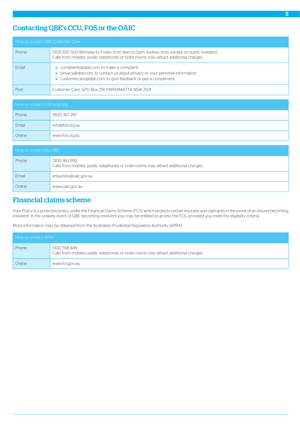# <span id="page-5-0"></span>Contacting QBE's CCU, FOS or the OAIC

| How to contact QBE Customer Care |                                                                                                                                                                                         |  |
|----------------------------------|-----------------------------------------------------------------------------------------------------------------------------------------------------------------------------------------|--|
| Phone                            | 1300 650 503 (Monday to Friday from 9am to 5pm, Sydney time, except on public holidays).<br>Calls from mobiles, public telephones or hotel rooms may attract additional charges.        |  |
| Fmail                            | complaints@gbe.com, to make a complaint.<br>privacy@qbe.com, to contact us about privacy or your personal information.<br>• customercare@qbe.com, to give feedback or pay a compliment. |  |
| Post                             | Customer Care, GPO Box 219, PARRAMATTA NSW 2124                                                                                                                                         |  |

| How to contact FOS Australia |                 |  |
|------------------------------|-----------------|--|
| Phone                        | 1800 367 287    |  |
| Email                        | info@fos.org.au |  |
| Online                       | www.fos.org.au  |  |

| How to contact the OAIC |                                                                                                      |  |
|-------------------------|------------------------------------------------------------------------------------------------------|--|
| Phone                   | 1300 363 992<br>Calls from mobiles, public telephones or hotel rooms may attract additional charges. |  |
| Email                   | enquiries@oaic.gov.au                                                                                |  |
| Online                  | www.oaic.gov.au                                                                                      |  |

# <span id="page-5-1"></span>Financial claims scheme

Your Policy is a protected policy under the Financial Claims Scheme (FCS), which protects certain insureds and claimants in the event of an insurer becoming insolvent. In the unlikely event of QBE becoming insolvent you may be entitled to access the FCS, provided you meet the eligibility criteria.

More information may be obtained from the Australian Prudential Regulation Authority (APRA).

| How to contact APRA |                                                                                                       |
|---------------------|-------------------------------------------------------------------------------------------------------|
| Phone               | 1300 558 849.<br>Calls from mobiles, public telephones or hotel rooms may attract additional charges. |
| Online              | www.fcs.gov.au                                                                                        |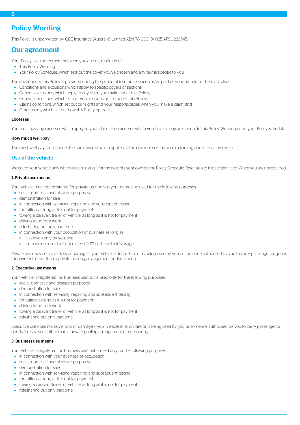# <span id="page-6-0"></span>Policy Wording

<span id="page-6-1"></span>This Policy is underwritten by QBE Insurance (Australia) Limited ABN 78 003 191 035 AFSL 239545.

## Our agreement

Your Policy is an agreement between you and us, made up of:

- This Policy Wording
- Your Policy Schedule, which sets out the cover you've chosen and any terms specific to you.

The cover under this Policy is provided during the period of insurance, once you've paid us your premium. There are also:

- Conditions and exclusions which apply to specific covers or sections;
- General exclusions, which apply to any claim you make under this Policy;
- General conditions, which set out your responsibilities under this Policy;
- Claims conditions, which set out our rights and your responsibilities when you make a claim; and
- Other terms, which set out how this Policy operates.

#### Excesses

You must pay any excesses which apply to your claim. The excesses which you have to pay are set out in this Policy Wording or on your Policy Schedule.

#### How much we'll pay

The most we'll pay for a claim is the sum insured which applies to the cover or section you're claiming under, less any excess.

#### Use of the vehicle

We cover your vehicle only when you are using it for the type of use shown on the Policy Schedule. Refer also to the section titled 'When you are not covered'.

#### 1. Private use means

Your vehicle must be registered for 'private use' only in your name and used for the following purposes:

- social, domestic and pleasure purposes
- **·** demonstration for sale
- in connection with servicing, repairing and subsequent testing
- **•** for tuition, as long as it is not for payment
- towing a caravan, trailer or vehicle, as long as it is not for payment
- driving to or from work
- ridesharing but only part time
- in connection with your occupation or business as long as:
	- o it is driven only by you, and
	- o the business use does not exceed 20% of the vehicle's usage.

Private use does not cover loss or damage if your vehicle is let on hire or is being used by you or someone authorised by you to carry passenger or goods for payment, other than a private pooling arrangement or ridesharing.

#### 2. Executive use means

Your vehicle is registered for 'business use' but is used only for the following purposes:

- social, domestic and pleasure purposes
- **·** demonstration for sale
- in connection with servicing, repairing and subsequent testing
- **•** for tuition, as long as it is not for payment
- driving to or from work
- towing a caravan, trailer or vehicle, as long as it is not for payment
- ridesharing but only part time.

Executive use does not cover loss or damage if your vehicle is let on hire or is being used by you or someone authorised by you to carry passenger or goods for payment, other than a private pooling arrangement or ridesharing.

#### 3. Business use means

Your vehicle is registered for 'business use', but is used only for the following purposes:

- in connection with your business or occupation
- social, domestic and pleasure purposes
- **demonstration for sale**
- in connection with servicing, repairing and subsequent testing
- **•** for tuition, as long as it is not for payment
- towing a caravan, trailer or vehicle, as long as it is not for payment
- ridesharing but only part time.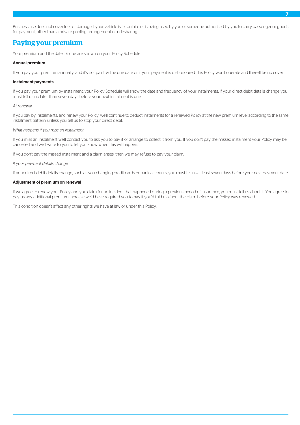Business use does not cover loss or damage if your vehicle is let on hire or is being used by you or someone authorised by you to carry passenger or goods for payment, other than a private pooling arrangement or ridesharing.

# <span id="page-7-0"></span>Paying your premium

Your premium and the date it's due are shown on your Policy Schedule.

#### Annual premium

If you pay your premium annually, and it's not paid by the due date or if your payment is dishonoured, this Policy won't operate and there'll be no cover.

#### Instalment payments

If you pay your premium by instalment, your Policy Schedule will show the date and frequency of your instalments. If your direct debit details change you must tell us no later than seven days before your next instalment is due.

#### *At renewal*

If you pay by instalments, and renew your Policy, we'll continue to deduct instalments for a renewed Policy at the new premium level according to the same instalment pattern, unless you tell us to stop your direct debit.

#### *What happens if you miss an instalment*

If you miss an instalment we'll contact you to ask you to pay it or arrange to collect it from you. If you don't pay the missed instalment your Policy may be cancelled and we'll write to you to let you know when this will happen.

If you don't pay the missed instalment and a claim arises, then we may refuse to pay your claim.

#### *If your payment details change*

If your direct debit details change, such as you changing credit cards or bank accounts, you must tell us at least seven days before your next payment date.

#### Adjustment of premium on renewal

If we agree to renew your Policy and you claim for an incident that happened during a previous period of insurance, you must tell us about it. You agree to pay us any additional premium increase we'd have required you to pay if you'd told us about the claim before your Policy was renewed.

This condition doesn't affect any other rights we have at law or under this Policy.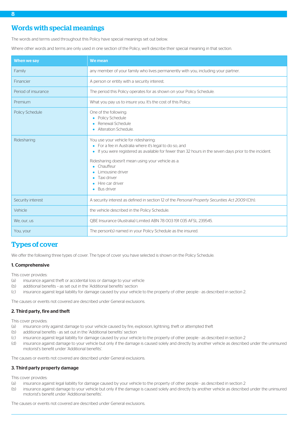# <span id="page-8-0"></span>Words with special meanings

The words and terms used throughout this Policy have special meanings set out below.

Where other words and terms are only used in one section of the Policy, we'll describe their special meaning in that section.

| When we say            | <b>We mean</b>                                                                                                                                                                                                                                                                                                                                        |
|------------------------|-------------------------------------------------------------------------------------------------------------------------------------------------------------------------------------------------------------------------------------------------------------------------------------------------------------------------------------------------------|
| Family                 | any member of your family who lives permanently with you, including your partner.                                                                                                                                                                                                                                                                     |
| Financier              | A person or entity with a security interest.                                                                                                                                                                                                                                                                                                          |
| Period of insurance    | The period this Policy operates for as shown on your Policy Schedule.                                                                                                                                                                                                                                                                                 |
| Premium                | What you pay us to insure you. It's the cost of this Policy.                                                                                                                                                                                                                                                                                          |
| <b>Policy Schedule</b> | One of the following:<br>Policy Schedule<br>Renewal Schedule<br>Alteration Schedule.                                                                                                                                                                                                                                                                  |
| Ridesharing            | You use your vehicle for ridesharing:<br>• For a fee in Australia where it's legal to do so, and<br>If you were registered as available for fewer than 32 hours in the seven days prior to the incident.<br>۰<br>Ridesharing doesn't mean using your vehicle as a:<br>Chauffeur<br>Limousine driver<br>Taxi driver<br>Hire car driver<br>• Bus driver |
| Security interest      | A security interest as defined in section 12 of the Personal Property Securities Act 2009 (Cth).                                                                                                                                                                                                                                                      |
| Vehicle                | the vehicle described in the Policy Schedule.                                                                                                                                                                                                                                                                                                         |
| We, our, us            | OBE Insurance (Australia) Limited ABN 78 003 191 035 AFSL 239545.                                                                                                                                                                                                                                                                                     |
| You, your              | The person(s) named in your Policy Schedule as the insured.                                                                                                                                                                                                                                                                                           |

# <span id="page-8-1"></span>Types of cover

We offer the following three types of cover. The type of cover you have selected is shown on the Policy Schedule.

#### 1. Comprehensive

This cover provides:

- (a) insurance against theft or accidental loss or damage to your vehicle
- (b) additional benefits as set out in the 'Additional benefits' section
- (c) insurance against legal liability for damage caused by your vehicle to the property of other people as described in section 2.

The causes or events not covered are described under General exclusions.

#### 2. Third party, fire and theft

This cover provides:

- (a) insurance only against damage to your vehicle caused by fire, explosion, lightning, theft or attempted theft
- (b) additional benefits as set out in the 'Additional benefits' section
- (c) insurance against legal liability for damage caused by your vehicle to the property of other people as described in section 2
- (d) insurance against damage to your vehicle but only if the damage is caused solely and directly by another vehicle as described under the uninsured motorist's benefit under 'Additional benefits'.

The causes or events not covered are described under General exclusions.

#### 3. Third party property damage

This cover provides:

- (a) insurance against legal liability for damage caused by your vehicle to the property of other people as described in section 2
- (b) insurance against damage to your vehicle but only if the damage is caused solely and directly by another vehicle as described under the uninsured motorist's benefit under 'Additional benefits'.

The causes or events not covered are described under General exclusions.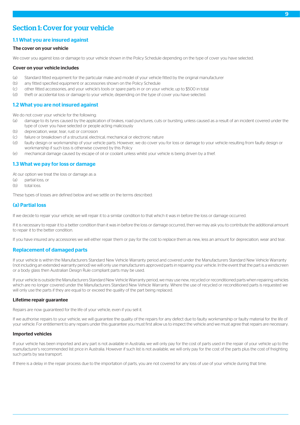# <span id="page-9-0"></span>Section 1: Cover for your vehicle

#### 1.1 What you are insured against

#### The cover on your vehicle

We cover you against loss or damage to your vehicle shown in the Policy Schedule depending on the type of cover you have selected.

#### Cover on your vehicle includes

- (a) Standard fitted equipment for the particular make and model of your vehicle fitted by the original manufacturer
- (b) any fitted specified equipment or accessories shown on the Policy Schedule
- (c) other fitted accessories, and your vehicle's tools or spare parts in or on your vehicle, up to \$500 in total
- (d) theft or accidental loss or damage to your vehicle, depending on the type of cover you have selected.

#### 1.2 What you are not insured against

We do not cover your vehicle for the following:

- (a) damage to its tyres caused by the application of brakes, road punctures, cuts or bursting, unless caused as a result of an incident covered under the type of cover you have selected or people acting maliciously
- (b) depreciation, wear, tear, rust or corrosion
- (c) failure or breakdown of a structural, electrical, mechanical or electronic nature
- (d) faulty design or workmanship of your vehicle parts. However, we do cover you for loss or damage to your vehicle resulting from faulty design or workmanship if such loss is otherwise covered by this Policy
- (e) mechanical damage caused by escape of oil or coolant unless whilst your vehicle is being driven by a thief.

## 1.3 What we pay for loss or damage

At our option we treat the loss or damage as a:

- (a) partial loss, or
- (b) total loss.

These types of losses are defined below and we settle on the terms described:

## (a) Partial loss

If we decide to repair your vehicle, we will repair it to a similar condition to that which it was in before the loss or damage occurred.

<span id="page-9-1"></span>If it is necessary to repair it to a better condition than it was in before the loss or damage occurred, then we may ask you to contribute the additional amount to repair it to the better condition.

If you have insured any accessories we will either repair them or pay for the cost to replace them as new, less an amount for depreciation, wear and tear.

## Replacement of damaged parts

If your vehicle is within the Manufacturers Standard New Vehicle Warranty period and covered under the Manufacturers Standard New Vehicle Warranty (not including an extended warranty period) we will only use manufacturers approved parts in repairing your vehicle. In the event that the part is a windscreen or a body glass then Australian Design Rule compliant parts may be used.

If your vehicle is outside the Manufacturers Standard New Vehicle Warranty period, we may use new, recycled or reconditioned parts when repairing vehicles which are no longer covered under the Manufacturers Standard New Vehicle Warranty. Where the use of recycled or reconditioned parts is requested we will only use the parts if they are equal to or exceed the quality of the part being replaced.

#### Lifetime repair guarantee

Repairs are now guaranteed for the life of your vehicle, even if you sell it.

If we authorise repairs to your vehicle, we will guarantee the quality of the repairs for any defect due to faulty workmanship or faulty material for the life of your vehicle. For entitlement to any repairs under this guarantee you must first allow us to inspect the vehicle and we must agree that repairs are necessary.

#### Imported vehicles

If your vehicle has been imported and any part is not available in Australia, we will only pay for the cost of parts used in the repair of your vehicle up to the manufacturer's recommended list price in Australia. However if such list is not available, we will only pay for the cost of the parts plus the cost of freighting such parts by sea transport.

If there is a delay in the repair process due to the importation of parts, you are not covered for any loss of use of your vehicle during that time.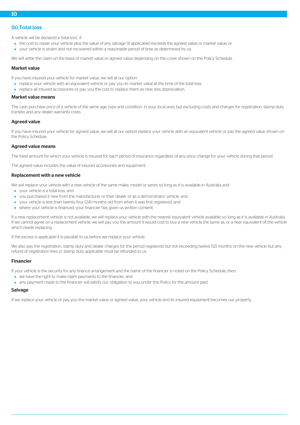#### (b) Total loss

A vehicle will be declared a 'total loss', if:

- the cost to repair your vehicle plus the value of any salvage (if applicable) exceeds the agreed value or market value, or
- your vehicle is stolen and not recovered within a reasonable period of time as determined by us.

We will settle the claim on the basis of market value or agreed value depending on the cover shown on the Policy Schedule.

#### Market value

If you have insured your vehicle for market value, we will at our option:

- replace your vehicle with an equivalent vehicle or pay you its market value at the time of the total loss
- replace all insured accessories or pay you the cost to replace them as new, less depreciation.

#### Market value means

The cash purchase price of a vehicle of the same age, type and condition, in your local area, but excluding costs and charges for registration, stamp duty transfer and any dealer warranty costs.

#### Agreed value

If you have insured your vehicle for agreed value, we will at our option replace your vehicle with an equivalent vehicle or pay the agreed value shown on the Policy Schedule.

#### Agreed value means

The fixed amount for which your vehicle is insured for each period of insurance regardless of any price change for your vehicle during that period.

The agreed value includes the value of insured accessories and equipment.

#### Replacement with a new vehicle

We will replace your vehicle with a new vehicle of the same make, model or series so long as it is available in Australia and:

- your vehicle is a total loss, and
- you purchased it new from the manufacturer or their dealer or as a demonstrator vehicle, and
- your vehicle is less than twenty four (24) months old from when it was first registered, and
- where your vehicle is financed, your financier has given us written consent.

If a new replacement vehicle is not available, we will replace your vehicle with the nearest equivalent vehicle available, so long as it is available in Australia. If we cannot agree on a replacement vehicle, we will pay you the amount it would cost to buy a new vehicle the same as, or a near equivalent of, the vehicle which needs replacing.

If the excess is applicable it is payable to us before we replace your vehicle.

We also pay the registration, stamp duty and dealer charges for the period registered but not exceeding twelve (12) months on the new vehicle but any refund of registration fees or stamp duty applicable must be refunded to us.

#### Financier

If your vehicle is the security for any finance arrangement and the name of the financier is noted on the Policy Schedule, then:

- we have the right to make claim payments to the financier, and
- any payment made to the financier will satisfy our obligation to you under this Policy for the amount paid.

#### Salvage

If we replace your vehicle or pay you the market value or agreed value, your vehicle and its insured equipment becomes our property.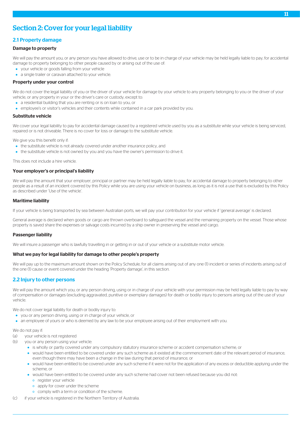# <span id="page-11-0"></span>Section 2: Cover for your legal liability

## 2.1 Property damage

#### Damage to property

We will pay the amount you, or any person you have allowed to drive, use or to be in charge of your vehicle may be held legally liable to pay, for accidental damage to property belonging to other people caused by or arising out of the use of:

- your vehicle or goods falling from your vehicle
- a single trailer or caravan attached to your vehicle.

#### Property under your control

We do not cover the legal liability of you or the driver of your vehicle for damage by your vehicle to any property belonging to you or the driver of your vehicle, or any property in your or the driver's care or custody, except to:

- a residential building that you are renting or is on loan to you, or
- employee's or visitor's vehicles and their contents while contained in a car park provided by you.

#### Substitute vehicle

We cover your legal liability to pay for accidental damage caused by a registered vehicle used by you as a substitute while your vehicle is being serviced, repaired or is not driveable. There is no cover for loss or damage to the substitute vehicle.

We give you this benefit only if:

- the substitute vehicle is not already covered under another insurance policy, and
- the substitute vehicle is not owned by you and you have the owner's permission to drive it.

This does not include a hire vehicle.

#### Your employer's or principal's liability

We will pay the amount that your employer, principal or partner may be held legally liable to pay, for accidental damage to property belonging to other people as a result of an incident covered by this Policy while you are using your vehicle on business, as long as it is not a use that is excluded by this Policy as described under 'Use of the vehicle'.

#### Maritime liability

If your vehicle is being transported by sea between Australian ports, we will pay your contribution for your vehicle if 'general average' is declared.

General average is declared when goods or cargo are thrown overboard to safeguard the vessel and the remaining property on the vessel. Those whose property is saved share the expenses or salvage costs incurred by a ship owner in preserving the vessel and cargo.

#### Passenger liability

We will insure a passenger who is lawfully travelling in or getting in or out of your vehicle or a substitute motor vehicle.

#### What we pay for legal liability for damage to other people's property

We will pay up to the maximum amount shown on the Policy Schedule, for all claims arising out of any one (1) incident or series of incidents arising out of the one (1) cause or event covered under the heading 'Property damage', in this section.

## 2.2 Injury to other persons

We will pay the amount which you, or any person driving, using or in charge of your vehicle with your permission may be held legally liable to pay by way of compensation or damages (excluding aggravated, punitive or exemplary damages) for death or bodily injury to persons arising out of the use of your vehicle.

We do not cover legal liability for death or bodily injury to:

- you or any person driving, using or in charge of your vehicle, or
- an employee of yours or who is deemed by any law to be your employee arising out of their employment with you.

#### We do not pay if:

- (a) your vehicle is not registered
- (b) you or any person using your vehicle:
	- is wholly or partly covered under any compulsory statutory insurance scheme or accident compensation scheme, or
	- would have been entitled to be covered under any such scheme as it existed at the commencement date of the relevant period of insurance, even though there may have been a change in the law during that period of insurance, or
	- would have been entitled to be covered under any such scheme if it were not for the application of any excess or deductible applying under the scheme, or
	- would have been entitled to be covered under any such scheme had cover not been refused because you did not:
		- o register your vehicle
		- o apply for cover under the scheme
		- o comply with a term or condition of the scheme.
- (c) if your vehicle is registered in the Northern Territory of Australia.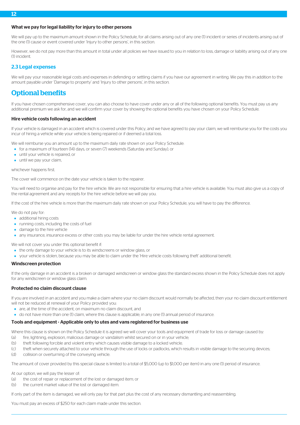#### What we pay for legal liability for injury to other persons

We will pay up to the maximum amount shown in the Policy Schedule, for all claims arising out of any one (1) incident or series of incidents arising out of the one (1) cause or event covered under 'Injury to other persons', in this section.

However, we do not pay more than this amount in total under all policies we have issued to you in relation to loss, damage or liability arising out of any one (1) incident.

#### 2.3 Legal expenses

<span id="page-12-0"></span>We will pay your reasonable legal costs and expenses in defending or settling claims if you have our agreement in writing. We pay this in addition to the amount payable under 'Damage to property' and 'Injury to other persons', in this section.

## Optional benefits

If you have chosen comprehensive cover, you can also choose to have cover under any or all of the following optional benefits. You must pay us any additional premium we ask for, and we will confirm your cover by showing the optional benefits you have chosen on your Policy Schedule.

#### Hire vehicle costs following an accident

If your vehicle is damaged in an accident which is covered under this Policy, and we have agreed to pay your claim, we will reimburse you for the costs you incur of hiring a vehicle while your vehicle is being repaired or if deemed a total loss.

We will reimburse you an amount up to the maximum daily rate shown on your Policy Schedule:

- for a maximum of fourteen (14) days, or seven (7) weekends (Saturday and Sunday), or
- until your vehicle is repaired, or
- **•** until we pay your claim.

#### whichever happens first.

The cover will commence on the date your vehicle is taken to the repairer.

You will need to organise and pay for the hire vehicle. We are not responsible for ensuring that a hire vehicle is available. You must also give us a copy of the rental agreement and any receipts for the hire vehicle before we will pay you.

If the cost of the hire vehicle is more than the maximum daily rate shown on your Policy Schedule, you will have to pay the difference.

We do not pay for:

- additional hiring costs
- **•** running costs, including the costs of fuel
- damage to the hire vehicle
- any insurance, insurance excess or other costs you may be liable for under the hire vehicle rental agreement.

We will not cover you under this optional benefit if:

- the only damage to your vehicle is to its windscreens or window glass, or
- your vehicle is stolen, because you may be able to claim under the 'Hire vehicle costs following theft' additional benefit.

#### Windscreen protection

If the only damage in an accident is a broken or damaged windscreen or window glass the standard excess shown in the Policy Schedule does not apply for any windscreen or window glass claim.

#### Protected no claim discount clause

If you are involved in an accident and you make a claim where your no claim discount would normally be affected, then your no claim discount entitlement will not be reduced at renewal of your Policy provided you:

- are, at the time of the accident, on maximum no claim discount, and
- do not have more than one (1) claim, where this clause is applicable, in any one (1) annual period of insurance.

#### Tools and equipment - Applicable only to utes and vans registered for business use

Where this clause is shown on the Policy Schedule it is agreed we will cover your tools and equipment of trade for loss or damage caused by:

- (a) fire, lightning, explosion, malicious damage or vandalism whilst secured on or in your vehicle;
- (b) theft following forcible and violent entry which causes visible damage to a locked vehicle;
- (c) theft when securely attached to your vehicle through the use of locks or padlocks, which results in visible damage to the securing devices;
- (d) collision or overturning of the conveying vehicle.

The amount of cover provided by this special clause is limited to a total of \$5,000 (up to \$1,000 per item) in any one (1) period of insurance.

At our option, we will pay the lesser of:

- (a) the cost of repair or replacement of the lost or damaged item; or
- (b) the current market value of the lost or damaged item.

If only part of the item is damaged, we will only pay for that part plus the cost of any necessary dismantling and reassembling.

You must pay an excess of \$250 for each claim made under this section.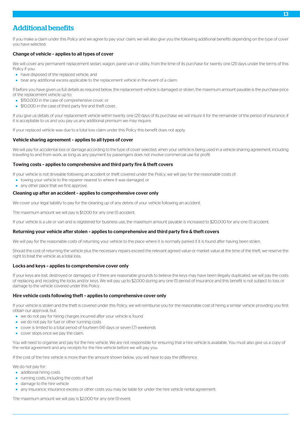# <span id="page-13-0"></span>Additional benefits

If you make a claim under this Policy and we agree to pay your claim, we will also give you the following additional benefits depending on the type of cover you have selected:

#### Change of vehicle – applies to all types of cover

We will cover any permanent replacement sedan, wagon, panel van or utility, from the time of its purchase for twenty one (21) days under the terms of this Policy if you:

- have disposed of the replaced vehicle, and
- bear any additional excess applicable to the replacement vehicle in the event of a claim.

If before you have given us full details as required below, the replacement vehicle is damaged or stolen, the maximum amount payable is the purchase price of the replacement vehicle up to:

- **S150,000 in the case of comprehensive cover, or**
- \$10,000 in the case of third party fire and theft cover.

If you give us details of your replacement vehicle within twenty one (21) days of its purchase we will insure it for the remainder of the period of insurance, if it is acceptable to us and you pay us any additional premium we may require.

If your replaced vehicle was due to a total loss claim under this Policy this benefit does not apply.

#### Vehicle sharing agreement – applies to all types of cover

We will pay for accidental loss or damage according to the type of cover selected, when your vehicle is being used in a vehicle sharing agreement, including travelling to and from work, as long as any payment by passengers does not involve commercial use for profit.

#### Towing costs – applies to comprehensive and third party fire & theft covers

If your vehicle is not driveable following an accident or theft covered under the Policy, we will pay for the reasonable costs of:

- towing your vehicle to the repairer nearest to where it was damaged, or
- any other place that we first approve.

#### Cleaning up after an accident – applies to comprehensive cover only

We cover your legal liability to pay for the cleaning up of any debris of your vehicle following an accident.

The maximum amount we will pay is \$1,000 for any one (1) accident.

If your vehicle is a ute or van and is registered for business use, the maximum amount payable is increased to \$20,000 for any one (1) accident.

#### Returning your vehicle after stolen – applies to comprehensive and third party fire & theft covers

We will pay for the reasonable costs of returning your vehicle to the place where it is normally parked if it is found after having been stolen.

Should the cost of returning the vehicle plus the necessary repairs exceed the relevant agreed value or market value at the time of the theft, we reserve the right to treat the vehicle as a total loss.

#### Locks and keys – applies to comprehensive cover only

If your keys are lost, destroyed or damaged, or if there are reasonable grounds to believe the keys may have been illegally duplicated, we will pay the costs of replacing and recoding the locks and/or keys. We will pay up to \$2,000 during any one (1) period of insurance and this benefit is not subject to loss or damage to the vehicle covered under this Policy.

#### Hire vehicle costs following theft – applies to comprehensive cover only

If your vehicle is stolen and the theft is covered under this Policy, we will reimburse you for the reasonable cost of hiring a similar vehicle providing you first obtain our approval, but:

- we do not pay for hiring charges incurred after your vehicle is found
- we do not pay for fuel or other running costs
- cover is limited to a total period of fourteen (14) days or seven (7) weekends
- cover stops once we pay the claim.

You will need to organise and pay for the hire vehicle. We are not responsible for ensuring that a hire vehicle is available. You must also give us a copy of the rental agreement and any receipts for the hire vehicle before we will pay you.

If the cost of the hire vehicle is more than the amount shown below, you will have to pay the difference.

We do not pay for:

- additional hiring costs
- running costs, including the costs of fuel
- damage to the hire vehicle
- any insurance, insurance excess or other costs you may be liable for under the hire vehicle rental agreement.

The maximum amount we will pay is \$2,000 for any one (1) event.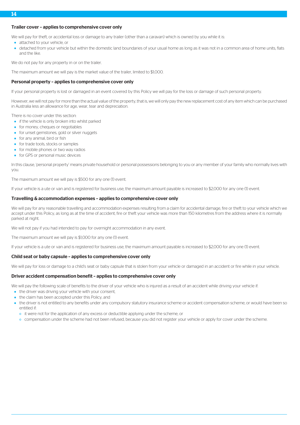#### Trailer cover – applies to comprehensive cover only

We will pay for theft, or accidental loss or damage to any trailer (other than a caravan) which is owned by you while it is:

- attached to your vehicle, or
- detached from your vehicle but within the domestic land boundaries of your usual home as long as it was not in a common area of home units, flats and the like.

We do not pay for any property in or on the trailer.

The maximum amount we will pay is the market value of the trailer, limited to \$1,000.

#### Personal property – applies to comprehensive cover only

If your personal property is lost or damaged in an event covered by this Policy we will pay for the loss or damage of such personal property.

However, we will not pay for more than the actual value of the property, that is, we will only pay the new replacement cost of any item which can be purchased in Australia less an allowance for age, wear, tear and depreciation.

There is no cover under this section:

• if the vehicle is only broken into whilst parked

- **•** for money, cheques or negotiables
- for unset gemstones, gold or silver nuggets
- **•** for any animal, bird or fish
- **•** for trade tools, stocks or samples
- for mobile phones or two way radios
- **•** for GPS or personal music devices

In this clause, 'personal property' means private household or personal possessions belonging to you or any member of your family who normally lives with you.

The maximum amount we will pay is \$500 for any one (1) event.

If your vehicle is a ute or van and is registered for business use, the maximum amount payable is increased to \$2,000 for any one (1) event.

#### Travelling & accommodation expenses – applies to comprehensive cover only

We will pay for any reasonable travelling and accommodation expenses resulting from a claim for accidental damage, fire or theft to your vehicle which we accept under this Policy, as long as at the time of accident, fire or theft your vehicle was more than 150 kilometres from the address where it is normally parked at night.

We will not pay if you had intended to pay for overnight accommodation in any event.

The maximum amount we will pay is \$1,000 for any one (1) event.

If your vehicle is a ute or van and is registered for business use, the maximum amount payable is increased to \$2,000 for any one (1) event.

#### Child seat or baby capsule – applies to comprehensive cover only

We will pay for loss or damage to a child's seat or baby capsule that is stolen from your vehicle or damaged in an accident or fire while in your vehicle.

#### Driver accident compensation benefit – applies to comprehensive cover only

We will pay the following scale of benefits to the driver of your vehicle who is injured as a result of an accident while driving your vehicle if:

- the driver was driving your vehicle with your consent,
- the claim has been accepted under this Policy, and
- the driver is not entitled to any benefits under any compulsory statutory insurance scheme or accident compensation scheme, or would have been so entitled if:
	- it were not for the application of any excess or deductible applying under the scheme, or
	- o compensation under the scheme had not been refused, because you did not register your vehicle or apply for cover under the scheme.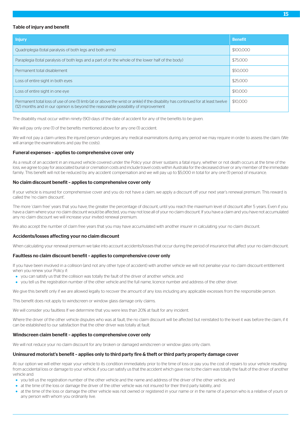#### Table of injury and benefit

| <b>Injury</b>                                                                                                                                                                                                          | <b>Benefit</b> |
|------------------------------------------------------------------------------------------------------------------------------------------------------------------------------------------------------------------------|----------------|
| Quadriplegia (total paralysis of both legs and both arms)                                                                                                                                                              | \$100,000      |
| Paraplegia (total paralysis of both legs and a part of or the whole of the lower half of the body)                                                                                                                     | \$75,000       |
| Permanent total disablement                                                                                                                                                                                            | \$50,000       |
| Loss of entire sight in both eyes                                                                                                                                                                                      | \$25,000       |
| Loss of entire sight in one eye                                                                                                                                                                                        | \$10,000       |
| Permanent total loss of use of one (1) limb (at or above the wrist or ankle) if the disability has continued for at least twelve<br>(12) months and in our opinion is beyond the reasonable possibility of improvement | \$10,000       |

The disability must occur within ninety (90) days of the date of accident for any of the benefits to be given.

We will pay only one (1) of the benefits mentioned above for any one (1) accident.

We will not pay a claim unless the injured person undergoes any medical examinations during any period we may require in order to assess the claim. (We will arrange the examinations and pay the costs).

#### Funeral expenses – applies to comprehensive cover only

As a result of an accident in an insured vehicle covered under the Policy your driver sustains a fatal injury, whether or not death occurs at the time of the loss, we agree to pay for associated burial or cremation costs and include travel costs within Australia for the deceased driver or any member of the immediate family. This benefit will not be reduced by any accident compensation and we will pay up to \$5,000 in total for any one (1) period of insurance.

#### No claim discount benefit – applies to comprehensive cover only

If your vehicle is insured for comprehensive cover and you do not have a claim, we apply a discount off your next year's renewal premium. This reward is called the 'no claim discount'.

The more 'claim free' years that you have, the greater the percentage of discount, until you reach the maximum level of discount after 5 years. Even if you have a claim where your no claim discount would be affected, you may not lose all of your no claim discount. If you have a claim and you have not accumulated any no claim discount we will increase your invited renewal premium.

We also accept the number of claim free years that you may have accumulated with another insurer in calculating your no claim discount.

#### Accidents/losses affecting your no claim discount

When calculating your renewal premium we take into account accidents/losses that occur during the period of insurance that affect your no claim discount.

#### Faultless no claim discount benefit – applies to comprehensive cover only

If you have been involved in a collision (and not any other type of accident) with another vehicle we will not penalise your no claim discount entitlement when you renew your Policy if:

- you can satisfy us that the collision was totally the fault of the driver of another vehicle, and
- you tell us the registration number of the other vehicle and the full name, licence number and address of the other driver.

We give this benefit only if we are allowed legally to recover the amount of any loss including any applicable excesses from the responsible person.

This benefit does not apply to windscreen or window glass damage only claims.

We will consider you faultless If we determine that you were less than 20% at fault for any incident.

Where the driver of the other vehicle disputes who was at fault, the no claim discount will be affected but reinstated to the level it was before the claim, if it can be established to our satisfaction that the other driver was totally at fault.

#### Windscreen claim benefit – applies to comprehensive cover only

We will not reduce your no claim discount for any broken or damaged windscreen or window glass only claim.

#### Uninsured motorist's benefit – applies only to third party fire & theft or third party property damage cover

At our option we will either repair your vehicle to its condition immediately prior to the time of loss or pay you the cost of repairs to your vehicle resulting from accidental loss or damage to your vehicle, if you can satisfy us that the accident which gave rise to the claim was totally the fault of the driver of another vehicle and:

- you tell us the registration number of the other vehicle and the name and address of the driver of the other vehicle, and
- at the time of the loss or damage the driver of the other vehicle was not insured for their third party liability, and
- at the time of the loss or damage the other vehicle was not owned or registered in your name or in the name of a person who is a relative of yours or any person with whom you ordinarily live.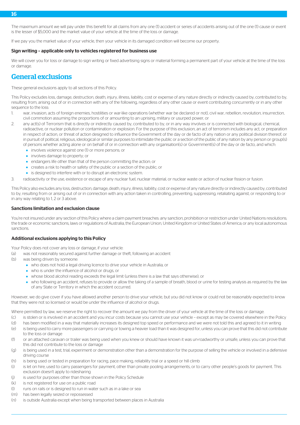The maximum amount we will pay under this benefit for all claims from any one (1) accident or series of accidents arising out of the one (1) cause or event is the lesser of \$5,000 and the market value of your vehicle at the time of the loss or damage.

If we pay you the market value of your vehicle, then your vehicle in its damaged condition will become our property.

#### Sign writing – applicable only to vehicles registered for business use

<span id="page-16-0"></span>We will cover you for loss or damage to sign writing or fixed advertising signs or material forming a permanent part of your vehicle at the time of the loss or damage.

## General exclusions

These general exclusions apply to all sections of this Policy.

This Policy excludes loss, damage, destruction, death, injury, illness, liability, cost or expense of any nature directly or indirectly caused by, contributed to by, resulting from, arising out of or in connection with any of the following, regardless of any other cause or event contributing concurrently or in any other sequence to the loss:

- war, invasion, acts of foreign enemies, hostilities or war-like operations (whether war be declared or not), civil war, rebellion, revolution, insurrection, civil commotion assuming the proportions of or amounting to an uprising, military or usurped power, or
- 2. any act(s) of Terrorism that is directly or indirectly caused by, contributed to by, or in any way involves or is connected with biological, chemical, radioactive, or nuclear pollution or contamination or explosion. For the purpose of this exclusion, an act of terrorism includes any act, or preparation in respect of action, or threat of action designed to influence the Government of the day or de facto of any nation or any political division thereof, or in pursuit of political, religious, ideological or similar purposes to intimidate the public or a section of the public of any nation by any person or group(s) of persons whether acting alone or on behalf of or in connection with any organisation(s) or Government(s) of the day or de facto, and which:
	- involves violence against one (1) or more persons; or
	- **·** involves damage to property; or
	- endangers life other than that of the person committing the action; or
	- creates a risk to health or safety of the public or a section of the public; or
	- **•** is designed to interfere with or to disrupt an electronic system.
- 3. radioactivity or the use, existence or escape of any nuclear fuel, nuclear material, or nuclear waste or action of nuclear fission or fusion.

This Policy also excludes any loss, destruction, damage, death, injury, illness, liability, cost or expense of any nature directly or indirectly caused by, contributed to by, resulting from or arising out of or in connection with any action taken in controlling, preventing, suppressing, retaliating against, or responding to or in any way relating to 1, 2 or 3 above.

#### Sanctions limitation and exclusion clause

You're not insured under any section of this Policy where a claim payment breaches: any sanction, prohibition or restriction under United Nations resolutions; the trade or economic sanctions, laws or regulations of Australia, the European Union, United Kingdom or United States of America; or any local autonomous sanctions.

#### Additional exclusions applying to this Policy

Your Policy does not cover any loss or damage, if your vehicle:

(a) was not reasonably secured against further damage or theft, following an accident

- (b) was being driven by someone:
	- who does not hold a legal driving licence to drive your vehicle in Australia, or
	- who is under the influence of alcohol or drugs, or
	- whose blood alcohol reading exceeds the legal limit (unless there is a law that says otherwise), or
	- who following an accident, refuses to provide or allow the taking of a sample of breath, blood or urine for testing analysis as required by the law of any State or Territory in which the accident occurred.

However, we do give cover if you have allowed another person to drive your vehicle, but you did not know or could not be reasonably expected to know that they were not so licensed or would be under the influence of alcohol or drugs.

Where permitted by law, we reserve the right to recover the amount we pay from the driver of your vehicle at the time of the loss or damage.

- (c) is stolen or is involved in an accident and you incur costs because you cannot use your vehicle except as may be covered elsewhere in the Policy
- (d) has been modified in a way that materially increases its designed top speed or performance and we were not told this and agreed to it in writing
- (e) is being used to carry more passengers or carrying or towing a heavier load than it was designed for, unless you can prove that this did not contribute to the loss or damage
- (f) or an attached caravan or trailer was being used when you knew or should have known it was un-roadworthy or unsafe, unless you can prove that this did not contribute to the loss or damage
- (g) is being used in a test, trial, experiment or demonstration other than a demonstration for the purpose of selling the vehicle or involved in a defensive driving course
- (h) is being used or tested in preparation for racing, pace making, reliability trial or a speed or hill climb
- (i) is let on hire, used to carry passengers for payment, other than private pooling arrangements, or to carry other people's goods for payment. This exclusion doesn't apply to ridesharing
- (j) is used for purposes other than those shown in the Policy Schedule
- (k) is not registered for use on a public road
- (l) runs on rails or is designed to run in water such as in a lake or sea
- (m) has been legally seized or repossessed
- (n) is outside Australia except when being transported between places in Australia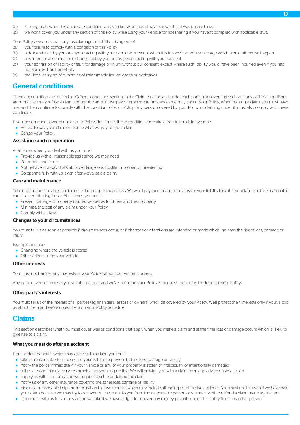- (o) is being used when it is an unsafe condition, and you knew or should have known that it was unsafe to use
- (p) we won't cover you under any section of this Policy while using your vehicle for ridesharing if you haven't complied with applicable laws.

Your Policy does not cover any loss damage or liability arising out of:

- (a) your failure to comply with a condition of this Policy
- (b) a deliberate act by you or anyone acting with your permission except when it is to avoid or reduce damage which would otherwise happen
- (c) any intentional criminal or dishonest act by you or any person acting with your consent
- (d) your admission of liability or fault for damage or injury without our consent, except where such liability would have been incurred even if you had not admitted fault or liability
- <span id="page-17-0"></span>(e) the illegal carrying of quantities of inflammable liquids, gases or explosives.

# General conditions

There are conditions set out in this General conditions section, in the Claims section and under each particular cover and section. If any of these conditions aren't met, we may refuse a claim, reduce the amount we pay or in some circumstances we may cancel your Policy. When making a claim, you must have met and then continue to comply with the conditions of your Policy. Any person covered by your Policy, or claiming under it, must also comply with these conditions.

If you, or someone covered under your Policy, don't meet these conditions or make a fraudulent claim we may:

- Refuse to pay your claim or reduce what we pay for your claim
- Cancel your Policy.

#### Assistance and co-operation

At all times when you deal with us you must:

- Provide us with all reasonable assistance we may need
- **Be truthful and frank**
- Not behave in a way that's abusive, dangerous, hostile, improper or threatening
- Co-operate fully with us, even after we've paid a claim.

#### Care and maintenance

You must take reasonable care to prevent damage, injury or loss. We won't pay for damage, injury, loss or your liability to which your failure to take reasonable care is a contributing factor. At all times, you must:

- Prevent damage to property insured, as well as to others and their property
- Minimise the cost of any claim under your Policy
- Comply with all laws.

#### Changes to your circumstances

You must tell us as soon as possible if circumstances occur, or if changes or alterations are intended or made which increase the risk of loss, damage or injury.

Examples include:

- Changing where the vehicle is stored
- Other drivers using your vehicle.

#### Other interests

You must not transfer any interests in your Policy without our written consent.

<span id="page-17-1"></span>Any person whose interests you've told us about and we've noted on your Policy Schedule is bound by the terms of your Policy.

#### Other party's interests

You must tell us of the interest of all parties (eg financiers, lessors or owners) who'll be covered by your Policy. We'll protect their interests only if you've told us about them and we've noted them on your Policy Schedule.

# Claims

This section describes what you must do, as well as conditions that apply when you make a claim and at the time loss or damage occurs which is likely to give rise to a claim.

#### What you must do after an accident

If an incident happens which may give rise to a claim you must:

- take all reasonable steps to secure your vehicle to prevent further loss, damage or liability
- notify the police immediately if your vehicle or any of your property is stolen or maliciously or intentionally damaged
- tell us or your financial services provider as soon as possible. We will provide you with a claim form and advice on what to do
- supply us with all information we require to settle or defend the claim
- notify us of any other insurance covering the same loss, damage or liability
- give us all reasonable help and information that we request, which may include attending court to give evidence. You must do this even if we have paid your claim because we may try to recover our payment to you from the responsible person or we may want to defend a claim made against you
- co-operate with us fully in any action we take if we have a right to recover any money payable under this Policy from any other person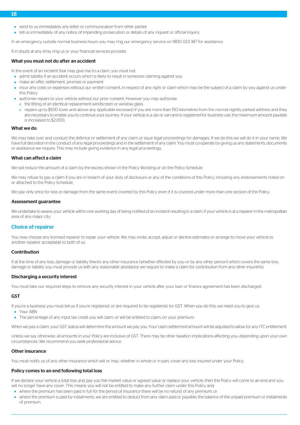- send to us immediately any letter or communication from other parties
- tell us immediately of any notice of impending prosecution or details of any inquest or official inquiry.

In an emergency outside normal business hours you may ring our emergency service on 1800 023 387 for assistance.

If in doubt at any time, ring us or your financial services provider.

#### What you must not do after an accident

In the event of an incident that may give rise to a claim, you must not:

- admit liability if an accident occurs which is likely to result in someone claiming against you
- make an offer, settlement, promise or payment
- incur any costs or expenses without our written consent, in respect of any right or claim which may be the subject of a claim by you against us under this Policy
- authorise repairs to your vehicle without our prior consent. However you may authorise:
- o the fitting of an identical replacement windscreen or window glass
- o repairs up to \$500 (over and above any applicable excesses) if you are more than 150 kilometres from the normal nightly parked address and they are necessary to enable you to continue your journey. If your vehicle is a ute or van and is registered for business use, the maximum amount payable is increased to \$2,000.

#### What we do

We may take over and conduct the defence or settlement of any claim or issue legal proceedings for damages. If we do this we will do it in your name. We have full discretion in the conduct of any legal proceedings and in the settlement of any claim. You must co-operate by giving us any statements, documents or assistance we require. This may include giving evidence in any legal proceedings.

#### What can affect a claim

We will reduce the amount of a claim by the excess shown in the Policy Wording or on the Policy Schedule.

We may refuse to pay a claim if you are in breach of your duty of disclosure or any of the conditions of this Policy, including any endorsements noted on or attached to the Policy Schedule.

We pay only once for loss or damage from the same event covered by this Policy even if it is covered under more than one section of the Policy.

#### <span id="page-18-0"></span>Assessment guarantee

We undertake to assess your vehicle within one working day of being notified of an incident resulting in a claim, if your vehicle is at a repairer in the metropolitan area of any major city.

#### Choice of repairer

You may choose any licensed repairer to repair your vehicle. We may invite, accept, adjust or decline estimates or arrange to move your vehicle to another repairer acceptable to both of us.

#### Contribution

If at the time of any loss, damage or liability there's any other insurance (whether effected by you or by any other person) which covers the same loss, damage or liability you must provide us with any reasonable assistance we require to make a claim for contribution from any other insurer(s).

#### Discharging a security interest

You must take our required steps to remove any security interest in your vehicle after your loan or finance agreement has been discharged.

#### GST

If you're a business you must tell us if you're registered, or are required to be registered, for GST. When you do this, we need you to give us:

- Your ABN
- The percentage of any input tax credit you will claim, or will be entitled to claim, on your premium.

When we pay a claim, your GST status will determine the amount we pay you. Your claim settlement amount will be adjusted to allow for any ITC entitlement.

Unless we say otherwise, all amounts in your Policy are inclusive of GST. There may be other taxation implications affecting you, depending upon your own circumstances. We recommend you seek professional advice.

#### Other insurance

You must notify us of any other insurance which will or may, whether in whole or in part, cover any loss insured under your Policy.

#### Policy comes to an end following total loss

If we declare your vehicle a total loss and pay you the market value or agreed value or replace your vehicle, then the Policy will come to an end and you will no longer have any cover. This means you will not be entitled to make any further claim under this Policy and:

- where the premium has been paid in full for the period of insurance there will be no refund of any premium, or
- where the premium is paid by instalments, we are entitled to deduct from any claim paid or payable, the balance of the unpaid premium or instalments of premium.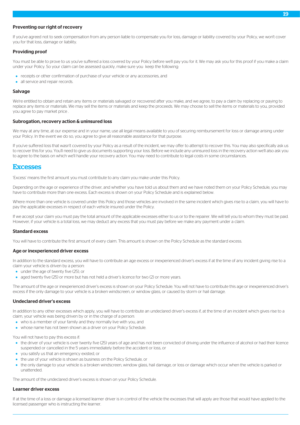#### Preventing our right of recovery

If you've agreed not to seek compensation from any person liable to compensate you for loss, damage or liability covered by your Policy, we won't cover you for that loss, damage or liability.

#### Providing proof

You must be able to prove to us you've suffered a loss covered by your Policy before we'll pay you for it. We may ask you for this proof if you make a claim under your Policy. So your claim can be assessed quickly, make sure you keep the following:

- receipts or other confirmation of purchase of your vehicle or any accessories, and
- all service and repair records.

#### Salvage

We're entitled to obtain and retain any items or materials salvaged or recovered after you make, and we agree, to pay a claim by replacing or paying to replace any items or materials. We may sell the items or materials and keep the proceeds. We may choose to sell the items or materials to you, provided you agree to pay market price .

#### Subrogation, recovery action & uninsured loss

We may at any time, at our expense and in your name, use all legal means available to you of securing reimbursement for loss or damage arising under your Policy. In the event we do so, you agree to give all reasonable assistance for that purpose.

<span id="page-19-0"></span>If you've suffered loss that wasn't covered by your Policy as a result of the incident, we may offer to attempt to recover this. You may also specifically ask us to recover this for you. You'll need to give us documents supporting your loss. Before we include any uninsured loss in the recovery action we'll also ask you to agree to the basis on which we'll handle your recovery action. You may need to contribute to legal costs in some circumstances.

## **Excesses**

'Excess' means the first amount you must contribute to any claim you make under this Policy.

Depending on the age or experience of the driver, and whether you have told us about them and we have noted them on your Policy Schedule, you may have to contribute more than one excess. Each excess is shown on your Policy Schedule and is explained below.

Where more than one vehicle is covered under this Policy and those vehicles are involved in the same incident which gives rise to a claim, you will have to pay the applicable excesses in respect of each vehicle insured under the Policy.

If we accept your claim you must pay the total amount of the applicable excesses either to us or to the repairer. We will tell you to whom they must be paid. However, if your vehicle is a total loss, we may deduct any excess that you must pay before we make any payment under a claim.

#### Standard excess

You will have to contribute the first amount of every claim. This amount is shown on the Policy Schedule as the standard excess.

#### Age or inexperienced driver excess

In addition to the standard excess, you will have to contribute an age excess or inexperienced driver's excess if at the time of any incident giving rise to a claim your vehicle is driven by a person:

- under the age of twenty five (25), or
- aged twenty five (25) or more but has not held a driver's licence for two (2) or more years.

The amount of the age or inexperienced driver's excess is shown on your Policy Schedule. You will not have to contribute this age or inexperienced driver's excess if the only damage to your vehicle is a broken windscreen, or window glass, or caused by storm or hail damage.

#### Undeclared driver's excess

In addition to any other excesses which apply, you will have to contribute an undeclared driver's excess if, at the time of an incident which gives rise to a claim, your vehicle was being driven by or in the charge of a person:

- who is a member of your family and they normally live with you, and
- whose name has not been shown as a driver on your Policy Schedule.

You will not have to pay this excess if:

- the driver of your vehicle is over twenty five (25) years of age and has not been convicted of driving under the influence of alcohol or had their licence suspended or cancelled in the 5 years immediately before the accident or loss, or
- you satisfy us that an emergency existed, or
- the use of your vehicle is shown as business on the Policy Schedule, or
- the only damage to your vehicle is a broken windscreen, window glass, hail damage, or loss or damage which occur when the vehicle is parked or unattended.

The amount of the undeclared driver's excess is shown on your Policy Schedule.

#### Learner driver excess

If at the time of a loss or damage a licensed learner driver is in control of the vehicle the excesses that will apply are those that would have applied to the licensed passenger who is instructing the learner.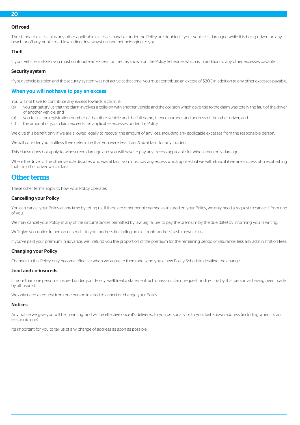#### Off road

The standard excess plus any other applicable excesses payable under the Policy are doubled if your vehicle is damaged while it is being driven on any beach or off any public road (excluding driveways) on land not belonging to you.

#### Theft

If your vehicle is stolen you must contribute an excess for theft as shown on the Policy Schedule, which is in addition to any other excesses payable.

#### Security system

If your vehicle is stolen and the security system was not active at that time, you must contribute an excess of \$200 in addition to any other excesses payable.

#### When you will not have to pay an excess

You will not have to contribute any excess towards a claim, if:

- (a) you can satisfy us that the claim involves a collision with another vehicle and the collision which gave rise to the claim was totally the fault of the driver of another vehicle, and
- (b) you tell us the registration number of the other vehicle and the full name, licence number and address of the other driver, and
- (c) the amount of your claim exceeds the applicable excesses under the Policy.

We give this benefit only if we are allowed legally to recover the amount of any loss, including any applicable excesses from the responsible person.

We will consider you faultless If we determine that you were less than 20% at fault for any incident.

This clause does not apply to windscreen damage and you will have to pay any excess applicable for windscreen only damage.

<span id="page-20-0"></span>Where the driver of the other vehicle disputes who was at fault, you must pay any excess which applies but we will refund it if we are successful in establishing that the other driver was at fault.

## Other terms

These other terms apply to how your Policy operates.

#### Cancelling your Policy

You can cancel your Policy at any time by telling us. If there are other people named as insured on your Policy, we only need a request to cancel it from one of you.

We may cancel your Policy in any of the circumstances permitted by law (eg failure to pay the premium by the due date) by informing you in writing.

We'll give you notice in person or send it to your address (including an electronic address) last known to us.

If you've paid your premium in advance, we'll refund you the proportion of the premium for the remaining period of insurance, less any administration fees.

#### Changing your Policy

Changes to this Policy only become effective when we agree to them and send you a new Policy Schedule detailing the change.

#### Joint and co-insureds

If more than one person is insured under your Policy, we'll treat a statement, act, omission, claim, request or direction by that person as having been made by all insured.

We only need a request from one person insured to cancel or change your Policy.

#### Notices

Any notice we give you will be in writing, and will be effective once it's delivered to you personally or to your last known address (including when it's an electronic one).

It's important for you to tell us of any change of address as soon as possible.